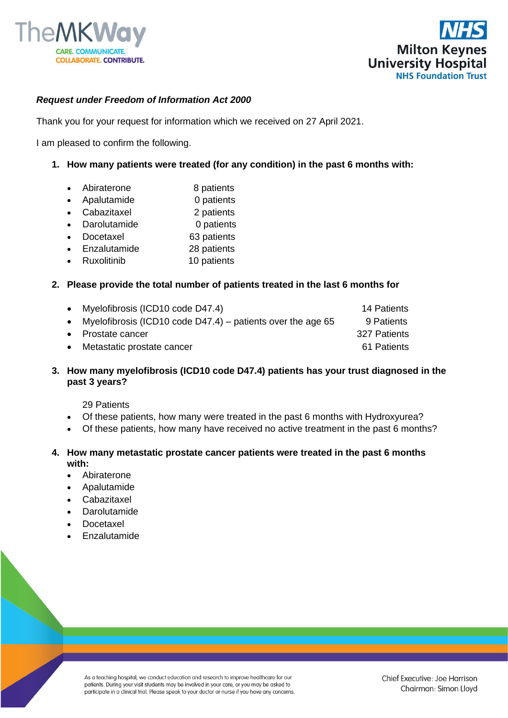



## *Request under Freedom of Information Act 2000*

Thank you for your request for information which we received on 27 April 2021.

I am pleased to confirm the following.

- **1. How many patients were treated (for any condition) in the past 6 months with:** 
	- Abiraterone 8 patients
	- Apalutamide 0 patients
	- Cabazitaxel 2 patients
	- Darolutamide 0 patients
	- Docetaxel 63 patients
	- Enzalutamide 28 patients
	- Ruxolitinib 10 patients

## **2. Please provide the total number of patients treated in the last 6 months for**

| $\bullet$ | Myelofibrosis (ICD10 code D47.4)                              | 14 Patients  |
|-----------|---------------------------------------------------------------|--------------|
|           | • Myelofibrosis (ICD10 code D47.4) – patients over the age 65 | 9 Patients   |
|           | • Prostate cancer                                             | 327 Patients |
| $\bullet$ | Metastatic prostate cancer                                    | 61 Patients  |

## **3. How many myelofibrosis (ICD10 code D47.4) patients has your trust diagnosed in the past 3 years?**

29 Patients

- Of these patients, how many were treated in the past 6 months with Hydroxyurea?
- Of these patients, how many have received no active treatment in the past 6 months?

## **4. How many metastatic prostate cancer patients were treated in the past 6 months with:**

- Abiraterone
- Apalutamide
- **Cabazitaxel**
- **Darolutamide**
- Docetaxel
- **Enzalutamide**

As a teaching hospital, we conduct education and research to improve healthcare for our patients. During your visit students may be involved in your care, or you may be asked to participate in a clinical trial. Please speak to your doctor or nurse if you have any concerns.